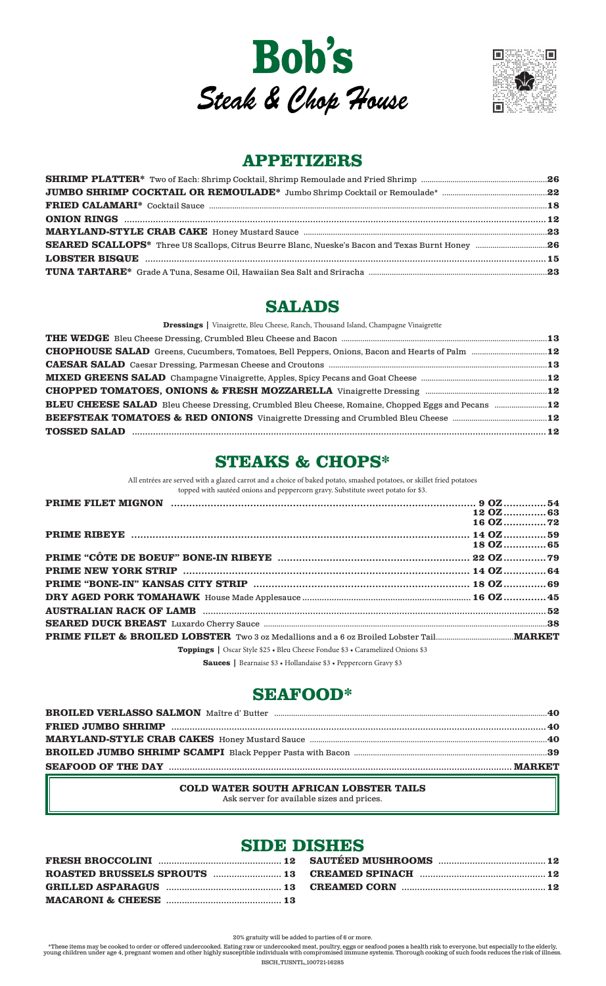



## **APPETIZERS**

## **SALADS**

Dressings | Vinaigrette, Bleu Cheese, Ranch, Thousand Island, Champagne Vinaigrette

| CHOPHOUSE SALAD Greens, Cucumbers, Tomatoes, Bell Peppers, Onions, Bacon and Hearts of Palm 12           |  |
|----------------------------------------------------------------------------------------------------------|--|
|                                                                                                          |  |
|                                                                                                          |  |
|                                                                                                          |  |
| <b>BLEU CHEESE SALAD</b> Bleu Cheese Dressing, Crumbled Bleu Cheese, Romaine, Chopped Eggs and Pecans 12 |  |
|                                                                                                          |  |
|                                                                                                          |  |

## **STEAKS & CHOPS\***

All entrées are served with a glazed carrot and a choice of baked potato, smashed potatoes, or skillet fried potatoes

| topped with sautéed onions and peppercorn gravy. Substitute sweet potato for \$3.    |  |           |
|--------------------------------------------------------------------------------------|--|-----------|
|                                                                                      |  |           |
|                                                                                      |  | 12 OZ63   |
|                                                                                      |  | 16 OZ72   |
|                                                                                      |  |           |
|                                                                                      |  | 18 OZ  65 |
|                                                                                      |  |           |
|                                                                                      |  |           |
|                                                                                      |  |           |
|                                                                                      |  |           |
|                                                                                      |  |           |
|                                                                                      |  |           |
|                                                                                      |  |           |
| <b>Toppings</b>   Oscar Style \$25 • Bleu Cheese Fondue \$3 • Caramelized Onions \$3 |  |           |

Sauces | Bearnaise \$3 · Hollandaise \$3 · Peppercorn Gravy \$3

## **SEAFOOD\***

| BROILED VERLASSO SALMON Maître d' Butter manument aux manument aux manument aux 40 |  |
|------------------------------------------------------------------------------------|--|
|                                                                                    |  |
|                                                                                    |  |
|                                                                                    |  |
|                                                                                    |  |

#### COLD WATER SOUTH AFRICAN LOBSTER TAILS Ask server for available sizes and prices.

## **SIDE DISHES**

| GRILLED ASPARAGUS (1200) (2000) (2000) (300) (3000) (3000) (3000) (3000) (3000) (3000) (3000) (3000) (3000) (3 |  |
|----------------------------------------------------------------------------------------------------------------|--|
|                                                                                                                |  |

20% gratuity will be added to parties of 6 or more.

\*These items may be cooked to order or offered undercooked. Eating raw or undercooked meat, poultry, eggs or seafood poses a health risk to everyone, but especially to the elderly, young children under age 4, pregnant wome